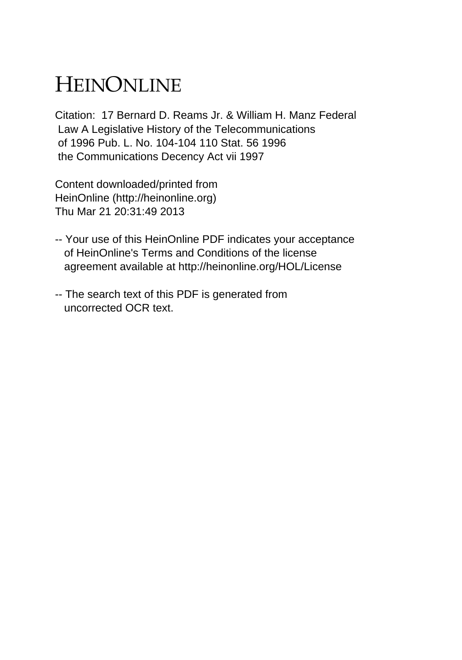# HEINONLINE

Citation: 17 Bernard D. Reams Jr. & William H. Manz Federal Law A Legislative History of the Telecommunications of 1996 Pub. L. No. 104-104 110 Stat. 56 1996 the Communications Decency Act vii 1997

Content downloaded/printed from HeinOnline (http://heinonline.org) Thu Mar 21 20:31:49 2013

- -- Your use of this HeinOnline PDF indicates your acceptance of HeinOnline's Terms and Conditions of the license agreement available at http://heinonline.org/HOL/License
- -- The search text of this PDF is generated from uncorrected OCR text.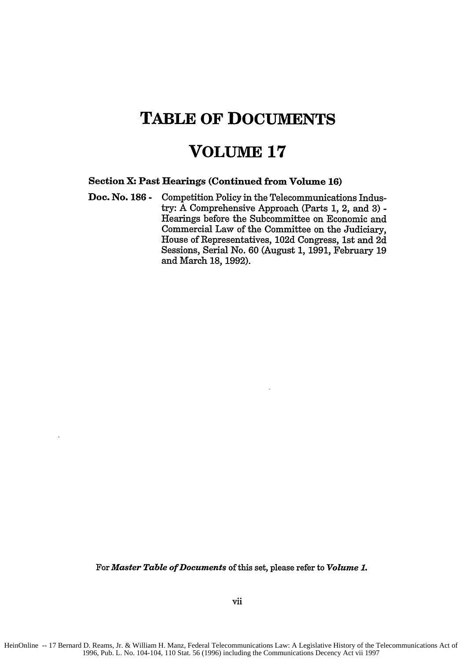### **TABLE OF DOCUMENTS**

#### **VOLUME 17**

#### **Section X: Past Hearings (Continued from Volume 16)**

**Doc. No. 186 -** Competition Policy in the Telecommunications Industry: A Comprehensive Approach (Parts **1,** 2, and **3)** - Hearings before the Subcommittee on Economic and Commercial Law of the Committee on the Judiciary, House of Representatives, **102d** Congress, **1st** and **2d** Sessions, Serial No. **60** (August **1, 1991,** February **19** and March **18, 1992).**

*For Master Table of Documents* of this set, please refer to *Volume 1.*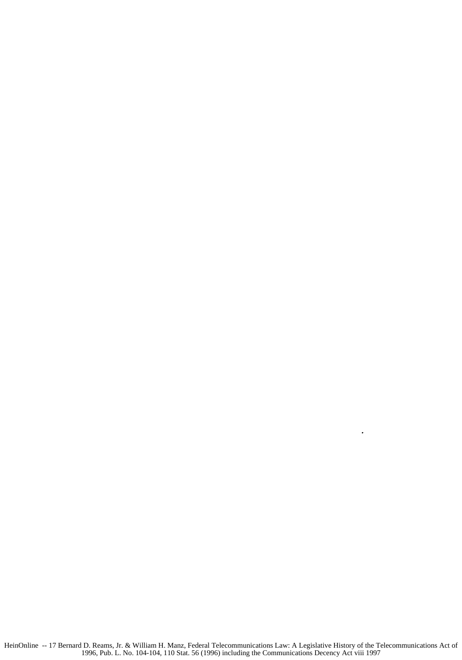HeinOnline -- 17 Bernard D. Reams, Jr. & William H. Manz, Federal Telecommunications Law: A Legislative History of the Telecommunications Act of 1996, Pub. L. No. 104-104, 110 Stat. 56 (1996) including the Communications Decency Act viii 1997

 $\ddot{\phantom{a}}$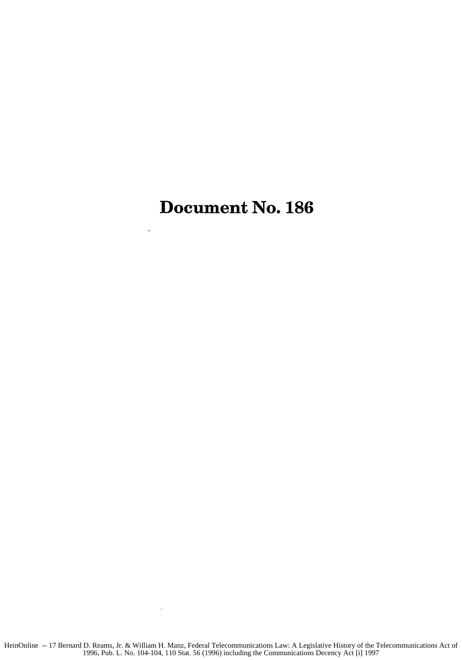## Document No. **186**

 $\ddot{\phantom{0}}$ 

 $\ddot{\phantom{a}}$